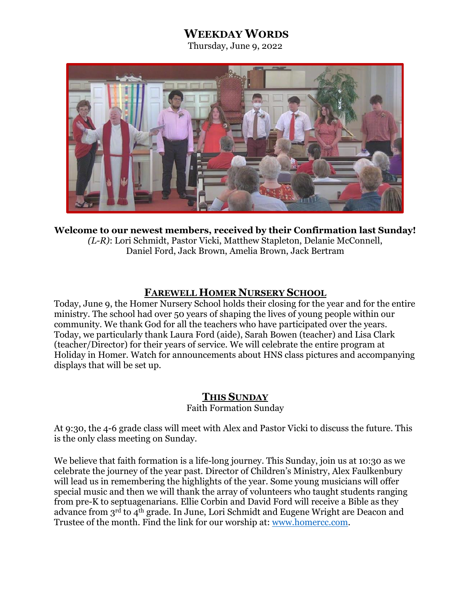# **WEEKDAY WORDS**

Thursday, June 9, 2022



**Welcome to our newest members, received by their Confirmation last Sunday!** *(L-R)*: Lori Schmidt, Pastor Vicki, Matthew Stapleton, Delanie McConnell, Daniel Ford, Jack Brown, Amelia Brown, Jack Bertram

## **FAREWELL HOMER NURSERY SCHOOL**

Today, June 9, the Homer Nursery School holds their closing for the year and for the entire ministry. The school had over 50 years of shaping the lives of young people within our community. We thank God for all the teachers who have participated over the years. Today, we particularly thank Laura Ford (aide), Sarah Bowen (teacher) and Lisa Clark (teacher/Director) for their years of service. We will celebrate the entire program at Holiday in Homer. Watch for announcements about HNS class pictures and accompanying displays that will be set up.

#### **THIS SUNDAY**

Faith Formation Sunday

At 9:30, the 4-6 grade class will meet with Alex and Pastor Vicki to discuss the future. This is the only class meeting on Sunday.

We believe that faith formation is a life-long journey. This Sunday, join us at 10:30 as we celebrate the journey of the year past. Director of Children's Ministry, Alex Faulkenbury will lead us in remembering the highlights of the year. Some young musicians will offer special music and then we will thank the array of volunteers who taught students ranging from pre-K to septuagenarians. Ellie Corbin and David Ford will receive a Bible as they advance from 3rd to 4th grade. In June, Lori Schmidt and Eugene Wright are Deacon and Trustee of the month. Find the link for our worship at: [www.homercc.com.](http://www.homercc.com/)